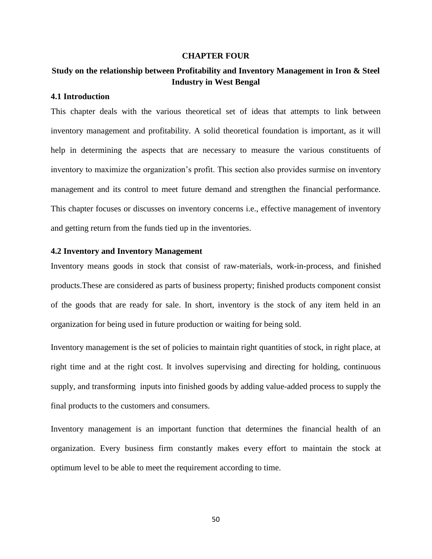#### **CHAPTER FOUR**

# **Study on the relationship between Profitability and Inventory Management in Iron & Steel Industry in West Bengal**

# **4.1 Introduction**

This chapter deals with the various theoretical set of ideas that attempts to link between inventory management and profitability. A solid theoretical foundation is important, as it will help in determining the aspects that are necessary to measure the various constituents of inventory to maximize the organization's profit. This section also provides surmise on inventory management and its control to meet future demand and strengthen the financial performance. This chapter focuses or discusses on inventory concerns i.e., effective management of inventory and getting return from the funds tied up in the inventories.

#### **4.2 Inventory and Inventory Management**

Inventory means goods in stock that consist of raw-materials, work-in-process, and finished products.These are considered as parts of business property; finished products component consist of the goods that are ready for sale. In short, inventory is the stock of any item held in an organization for being used in future production or waiting for being sold.

Inventory management is the set of policies to maintain right quantities of stock, in right place, at right time and at the right cost. It involves supervising and directing for holding, continuous supply, and transforming inputs into finished goods by adding value-added process to supply the final products to the customers and consumers.

Inventory management is an important function that determines the financial health of an organization. Every business firm constantly makes every effort to maintain the stock at optimum level to be able to meet the requirement according to time.

50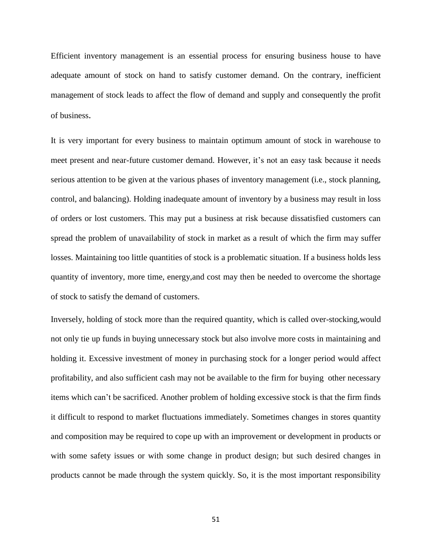Efficient inventory management is an essential process for ensuring business house to have adequate amount of stock on hand to satisfy customer demand. On the contrary, inefficient management of stock leads to affect the flow of demand and supply and consequently the profit of business.

It is very important for every business to maintain optimum amount of stock in warehouse to meet present and near-future customer demand. However, it's not an easy task because it needs serious attention to be given at the various phases of inventory management (i.e., stock planning, control, and balancing). Holding inadequate amount of inventory by a business may result in loss of orders or lost customers. This may put a business at risk because dissatisfied customers can spread the problem of unavailability of stock in market as a result of which the firm may suffer losses. Maintaining too little quantities of stock is a problematic situation. If a business holds less quantity of inventory, more time, energy,and cost may then be needed to overcome the shortage of stock to satisfy the demand of customers.

Inversely, holding of stock more than the required quantity, which is called over-stocking,would not only tie up funds in buying unnecessary stock but also involve more costs in maintaining and holding it. Excessive investment of money in purchasing stock for a longer period would affect profitability, and also sufficient cash may not be available to the firm for buying other necessary items which can't be sacrificed. Another problem of holding excessive stock is that the firm finds it difficult to respond to market fluctuations immediately. Sometimes changes in stores quantity and composition may be required to cope up with an improvement or development in products or with some safety issues or with some change in product design; but such desired changes in products cannot be made through the system quickly. So, it is the most important responsibility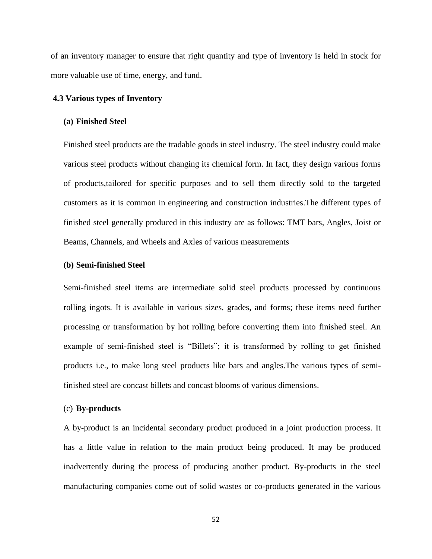of an inventory manager to ensure that right quantity and type of inventory is held in stock for more valuable use of time, energy, and fund.

### **4.3 Various types of Inventory**

## **(a) Finished Steel**

Finished steel products are the tradable goods in steel industry. The steel industry could make various steel products without changing its chemical form. In fact, they design various forms of products,tailored for specific purposes and to sell them directly sold to the targeted customers as it is common in engineering and construction industries.The different types of finished steel generally produced in this industry are as follows: TMT bars, Angles, Joist or Beams, Channels, and Wheels and Axles of various measurements

#### **(b) Semi-finished Steel**

Semi-finished steel items are intermediate solid steel products processed by continuous rolling ingots. It is available in various sizes, grades, and forms; these items need further processing or transformation by hot rolling before converting them into finished steel. An example of semi-finished steel is "Billets"; it is transformed by rolling to get finished products i.e., to make long steel products like bars and angles.The various types of semifinished steel are concast billets and concast blooms of various dimensions.

# (c) **By-products**

A by-product is an incidental secondary product produced in a joint production process. It has a little value in relation to the main product being produced. It may be produced inadvertently during the process of producing another product. By-products in the steel manufacturing companies come out of solid wastes or co-products generated in the various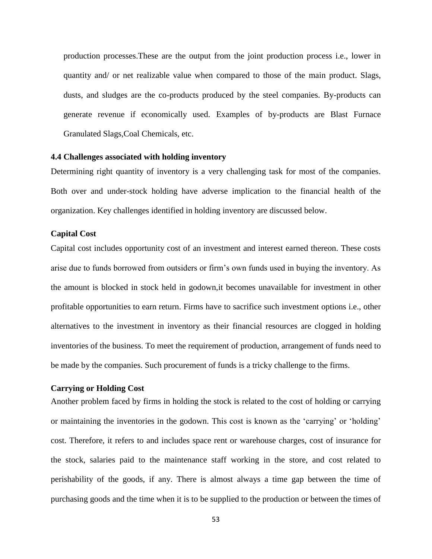production processes.These are the output from the joint production process i.e., lower in quantity and/ or net realizable value when compared to those of the main product. Slags, dusts, and sludges are the co-products produced by the steel companies. By-products can generate revenue if economically used. Examples of by-products are Blast Furnace Granulated Slags,Coal Chemicals, etc.

# **4.4 Challenges associated with holding inventory**

Determining right quantity of inventory is a very challenging task for most of the companies. Both over and under-stock holding have adverse implication to the financial health of the organization. Key challenges identified in holding inventory are discussed below.

## **Capital Cost**

Capital cost includes opportunity cost of an investment and interest earned thereon. These costs arise due to funds borrowed from outsiders or firm's own funds used in buying the inventory. As the amount is blocked in stock held in godown,it becomes unavailable for investment in other profitable opportunities to earn return. Firms have to sacrifice such investment options i.e., other alternatives to the investment in inventory as their financial resources are clogged in holding inventories of the business. To meet the requirement of production, arrangement of funds need to be made by the companies. Such procurement of funds is a tricky challenge to the firms.

# **Carrying or Holding Cost**

Another problem faced by firms in holding the stock is related to the cost of holding or carrying or maintaining the inventories in the godown. This cost is known as the 'carrying' or 'holding' cost. Therefore, it refers to and includes space rent or warehouse charges, cost of insurance for the stock, salaries paid to the maintenance staff working in the store, and cost related to perishability of the goods, if any. There is almost always a time gap between the time of purchasing goods and the time when it is to be supplied to the production or between the times of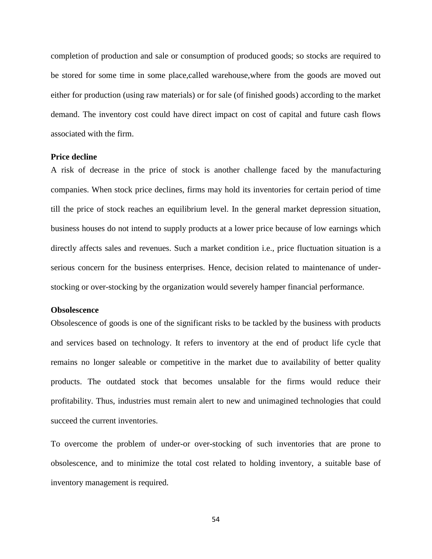completion of production and sale or consumption of produced goods; so stocks are required to be stored for some time in some place,called warehouse,where from the goods are moved out either for production (using raw materials) or for sale (of finished goods) according to the market demand. The inventory cost could have direct impact on cost of capital and future cash flows associated with the firm.

#### **Price decline**

A risk of decrease in the price of stock is another challenge faced by the manufacturing companies. When stock price declines, firms may hold its inventories for certain period of time till the price of stock reaches an equilibrium level. In the general market depression situation, business houses do not intend to supply products at a lower price because of low earnings which directly affects sales and revenues. Such a market condition i.e., price fluctuation situation is a serious concern for the business enterprises. Hence, decision related to maintenance of understocking or over-stocking by the organization would severely hamper financial performance.

### **Obsolescence**

Obsolescence of goods is one of the significant risks to be tackled by the business with products and services based on technology. It refers to inventory at the end of product life cycle that remains no longer saleable or competitive in the market due to availability of better quality products. The outdated stock that becomes unsalable for the firms would reduce their profitability. Thus, industries must remain alert to new and unimagined technologies that could succeed the current inventories.

To overcome the problem of under-or over-stocking of such inventories that are prone to obsolescence, and to minimize the total cost related to holding inventory, a suitable base of inventory management is required.

54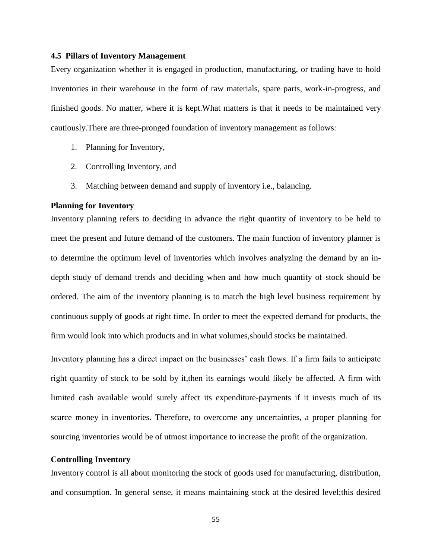### **4.5 Pillars of Inventory Management**

Every organization whether it is engaged in production, manufacturing, or trading have to hold inventories in their warehouse in the form of raw materials, spare parts, work-in-progress, and finished goods. No matter, where it is kept.What matters is that it needs to be maintained very cautiously.There are three-pronged foundation of inventory management as follows:

- 1. Planning for Inventory,
- 2. Controlling Inventory, and
- 3. Matching between demand and supply of inventory i.e., balancing.

### **Planning for Inventory**

Inventory planning refers to deciding in advance the right quantity of inventory to be held to meet the present and future demand of the customers. The main function of inventory planner is to determine the optimum level of inventories which involves analyzing the demand by an indepth study of demand trends and deciding when and how much quantity of stock should be ordered. The aim of the inventory planning is to match the high level business requirement by continuous supply of goods at right time. In order to meet the expected demand for products, the firm would look into which products and in what volumes,should stocks be maintained.

Inventory planning has a direct impact on the businesses' cash flows. If a firm fails to anticipate right quantity of stock to be sold by it,then its earnings would likely be affected. A firm with limited cash available would surely affect its expenditure-payments if it invests much of its scarce money in inventories. Therefore, to overcome any uncertainties, a proper planning for sourcing inventories would be of utmost importance to increase the profit of the organization.

#### **Controlling Inventory**

Inventory control is all about monitoring the stock of goods used for manufacturing, distribution, and consumption. In general sense, it means maintaining stock at the desired level;this desired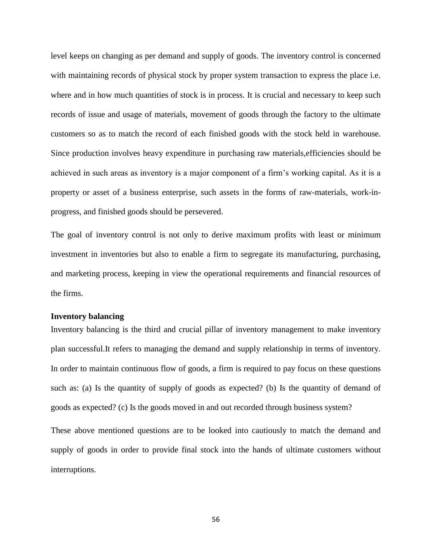level keeps on changing as per demand and supply of goods. The inventory control is concerned with maintaining records of physical stock by proper system transaction to express the place i.e. where and in how much quantities of stock is in process. It is crucial and necessary to keep such records of issue and usage of materials, movement of goods through the factory to the ultimate customers so as to match the record of each finished goods with the stock held in warehouse. Since production involves heavy expenditure in purchasing raw materials,efficiencies should be achieved in such areas as inventory is a major component of a firm's working capital. As it is a property or asset of a business enterprise, such assets in the forms of raw-materials, work-inprogress, and finished goods should be persevered.

The goal of inventory control is not only to derive maximum profits with least or minimum investment in inventories but also to enable a firm to segregate its manufacturing, purchasing, and marketing process, keeping in view the operational requirements and financial resources of the firms.

# **Inventory balancing**

Inventory balancing is the third and crucial pillar of inventory management to make inventory plan successful.It refers to managing the demand and supply relationship in terms of inventory. In order to maintain continuous flow of goods, a firm is required to pay focus on these questions such as: (a) Is the quantity of supply of goods as expected? (b) Is the quantity of demand of goods as expected? (c) Is the goods moved in and out recorded through business system?

These above mentioned questions are to be looked into cautiously to match the demand and supply of goods in order to provide final stock into the hands of ultimate customers without interruptions.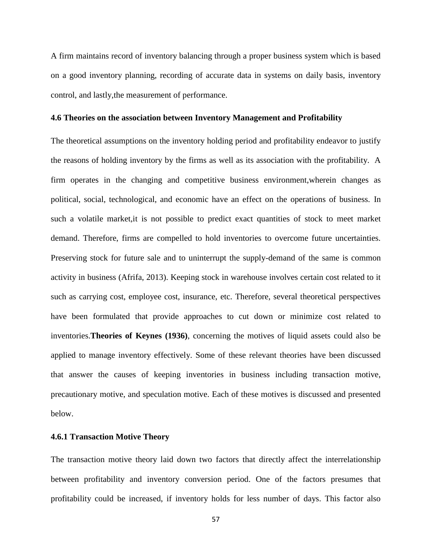A firm maintains record of inventory balancing through a proper business system which is based on a good inventory planning, recording of accurate data in systems on daily basis, inventory control, and lastly,the measurement of performance.

#### **4.6 Theories on the association between Inventory Management and Profitability**

The theoretical assumptions on the inventory holding period and profitability endeavor to justify the reasons of holding inventory by the firms as well as its association with the profitability. A firm operates in the changing and competitive business environment,wherein changes as political, social, technological, and economic have an effect on the operations of business. In such a volatile market,it is not possible to predict exact quantities of stock to meet market demand. Therefore, firms are compelled to hold inventories to overcome future uncertainties. Preserving stock for future sale and to uninterrupt the supply-demand of the same is common activity in business (Afrifa, 2013). Keeping stock in warehouse involves certain cost related to it such as carrying cost, employee cost, insurance, etc. Therefore, several theoretical perspectives have been formulated that provide approaches to cut down or minimize cost related to inventories.**Theories of Keynes (1936)**, concerning the motives of liquid assets could also be applied to manage inventory effectively. Some of these relevant theories have been discussed that answer the causes of keeping inventories in business including transaction motive, precautionary motive, and speculation motive. Each of these motives is discussed and presented below.

# **4.6.1 Transaction Motive Theory**

The transaction motive theory laid down two factors that directly affect the interrelationship between profitability and inventory conversion period. One of the factors presumes that profitability could be increased, if inventory holds for less number of days. This factor also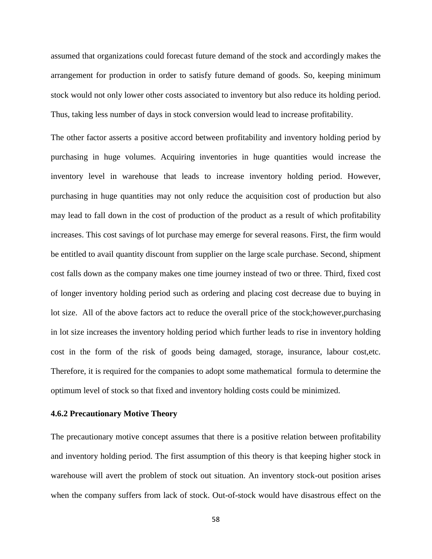assumed that organizations could forecast future demand of the stock and accordingly makes the arrangement for production in order to satisfy future demand of goods. So, keeping minimum stock would not only lower other costs associated to inventory but also reduce its holding period. Thus, taking less number of days in stock conversion would lead to increase profitability.

The other factor asserts a positive accord between profitability and inventory holding period by purchasing in huge volumes. Acquiring inventories in huge quantities would increase the inventory level in warehouse that leads to increase inventory holding period. However, purchasing in huge quantities may not only reduce the acquisition cost of production but also may lead to fall down in the cost of production of the product as a result of which profitability increases. This cost savings of lot purchase may emerge for several reasons. First, the firm would be entitled to avail quantity discount from supplier on the large scale purchase. Second, shipment cost falls down as the company makes one time journey instead of two or three. Third, fixed cost of longer inventory holding period such as ordering and placing cost decrease due to buying in lot size. All of the above factors act to reduce the overall price of the stock;however,purchasing in lot size increases the inventory holding period which further leads to rise in inventory holding cost in the form of the risk of goods being damaged, storage, insurance, labour cost,etc. Therefore, it is required for the companies to adopt some mathematical formula to determine the optimum level of stock so that fixed and inventory holding costs could be minimized.

# **4.6.2 Precautionary Motive Theory**

The precautionary motive concept assumes that there is a positive relation between profitability and inventory holding period. The first assumption of this theory is that keeping higher stock in warehouse will avert the problem of stock out situation. An inventory stock-out position arises when the company suffers from lack of stock. Out-of-stock would have disastrous effect on the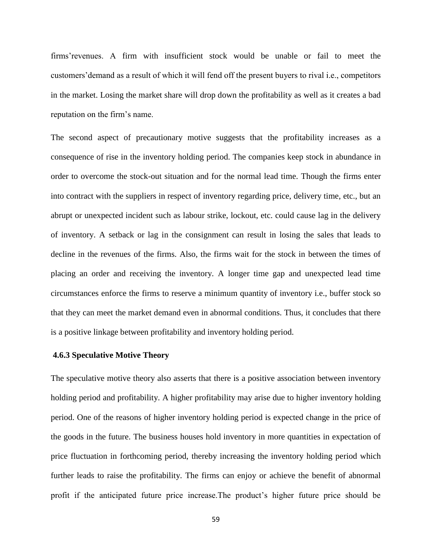firms'revenues. A firm with insufficient stock would be unable or fail to meet the customers'demand as a result of which it will fend off the present buyers to rival i.e., competitors in the market. Losing the market share will drop down the profitability as well as it creates a bad reputation on the firm's name.

The second aspect of precautionary motive suggests that the profitability increases as a consequence of rise in the inventory holding period. The companies keep stock in abundance in order to overcome the stock-out situation and for the normal lead time. Though the firms enter into contract with the suppliers in respect of inventory regarding price, delivery time, etc., but an abrupt or unexpected incident such as labour strike, lockout, etc. could cause lag in the delivery of inventory. A setback or lag in the consignment can result in losing the sales that leads to decline in the revenues of the firms. Also, the firms wait for the stock in between the times of placing an order and receiving the inventory. A longer time gap and unexpected lead time circumstances enforce the firms to reserve a minimum quantity of inventory i.e., buffer stock so that they can meet the market demand even in abnormal conditions. Thus, it concludes that there is a positive linkage between profitability and inventory holding period.

### **4.6.3 Speculative Motive Theory**

The speculative motive theory also asserts that there is a positive association between inventory holding period and profitability. A higher profitability may arise due to higher inventory holding period. One of the reasons of higher inventory holding period is expected change in the price of the goods in the future. The business houses hold inventory in more quantities in expectation of price fluctuation in forthcoming period, thereby increasing the inventory holding period which further leads to raise the profitability. The firms can enjoy or achieve the benefit of abnormal profit if the anticipated future price increase.The product's higher future price should be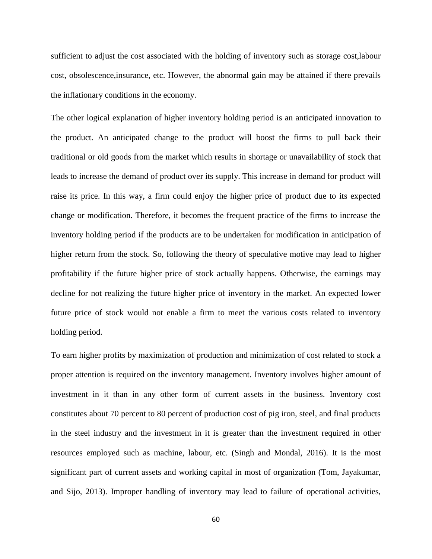sufficient to adjust the cost associated with the holding of inventory such as storage cost,labour cost, obsolescence,insurance, etc. However, the abnormal gain may be attained if there prevails the inflationary conditions in the economy.

The other logical explanation of higher inventory holding period is an anticipated innovation to the product. An anticipated change to the product will boost the firms to pull back their traditional or old goods from the market which results in shortage or unavailability of stock that leads to increase the demand of product over its supply. This increase in demand for product will raise its price. In this way, a firm could enjoy the higher price of product due to its expected change or modification. Therefore, it becomes the frequent practice of the firms to increase the inventory holding period if the products are to be undertaken for modification in anticipation of higher return from the stock. So, following the theory of speculative motive may lead to higher profitability if the future higher price of stock actually happens. Otherwise, the earnings may decline for not realizing the future higher price of inventory in the market. An expected lower future price of stock would not enable a firm to meet the various costs related to inventory holding period.

To earn higher profits by maximization of production and minimization of cost related to stock a proper attention is required on the inventory management. Inventory involves higher amount of investment in it than in any other form of current assets in the business. Inventory cost constitutes about 70 percent to 80 percent of production cost of pig iron, steel, and final products in the steel industry and the investment in it is greater than the investment required in other resources employed such as machine, labour, etc. (Singh and Mondal, 2016). It is the most significant part of current assets and working capital in most of organization (Tom, Jayakumar, and Sijo, 2013). Improper handling of inventory may lead to failure of operational activities,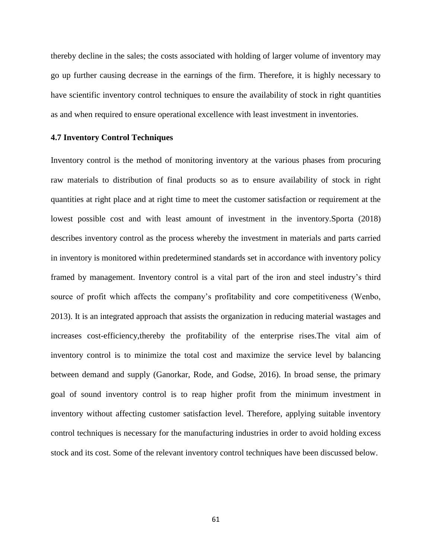thereby decline in the sales; the costs associated with holding of larger volume of inventory may go up further causing decrease in the earnings of the firm. Therefore, it is highly necessary to have scientific inventory control techniques to ensure the availability of stock in right quantities as and when required to ensure operational excellence with least investment in inventories.

## **4.7 Inventory Control Techniques**

Inventory control is the method of monitoring inventory at the various phases from procuring raw materials to distribution of final products so as to ensure availability of stock in right quantities at right place and at right time to meet the customer satisfaction or requirement at the lowest possible cost and with least amount of investment in the inventory.Sporta (2018) describes inventory control as the process whereby the investment in materials and parts carried in inventory is monitored within predetermined standards set in accordance with inventory policy framed by management. Inventory control is a vital part of the iron and steel industry's third source of profit which affects the company's profitability and core competitiveness (Wenbo, 2013). It is an integrated approach that assists the organization in reducing material wastages and increases cost-efficiency,thereby the profitability of the enterprise rises.The vital aim of inventory control is to minimize the total cost and maximize the service level by balancing between demand and supply (Ganorkar, Rode, and Godse, 2016). In broad sense, the primary goal of sound inventory control is to reap higher profit from the minimum investment in inventory without affecting customer satisfaction level. Therefore, applying suitable inventory control techniques is necessary for the manufacturing industries in order to avoid holding excess stock and its cost. Some of the relevant inventory control techniques have been discussed below.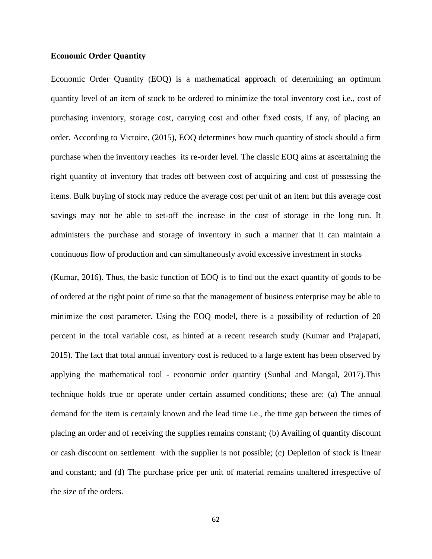# **Economic Order Quantity**

Economic Order Quantity (EOQ) is a mathematical approach of determining an optimum quantity level of an item of stock to be ordered to minimize the total inventory cost i.e., cost of purchasing inventory, storage cost, carrying cost and other fixed costs, if any, of placing an order. According to Victoire, (2015), EOQ determines how much quantity of stock should a firm purchase when the inventory reaches its re-order level. The classic EOQ aims at ascertaining the right quantity of inventory that trades off between cost of acquiring and cost of possessing the items. Bulk buying of stock may reduce the average cost per unit of an item but this average cost savings may not be able to set-off the increase in the cost of storage in the long run. It administers the purchase and storage of inventory in such a manner that it can maintain a continuous flow of production and can simultaneously avoid excessive investment in stocks

(Kumar, 2016). Thus, the basic function of EOQ is to find out the exact quantity of goods to be of ordered at the right point of time so that the management of business enterprise may be able to minimize the cost parameter. Using the EOQ model, there is a possibility of reduction of 20 percent in the total variable cost, as hinted at a recent research study (Kumar and Prajapati, 2015). The fact that total annual inventory cost is reduced to a large extent has been observed by applying the mathematical tool - economic order quantity (Sunhal and Mangal, 2017).This technique holds true or operate under certain assumed conditions; these are: (a) The annual demand for the item is certainly known and the lead time i.e., the time gap between the times of placing an order and of receiving the supplies remains constant; (b) Availing of quantity discount or cash discount on settlement with the supplier is not possible; (c) Depletion of stock is linear and constant; and (d) The purchase price per unit of material remains unaltered irrespective of the size of the orders.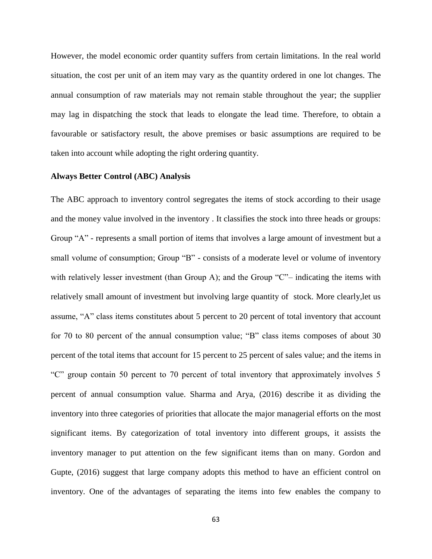However, the model economic order quantity suffers from certain limitations. In the real world situation, the cost per unit of an item may vary as the quantity ordered in one lot changes. The annual consumption of raw materials may not remain stable throughout the year; the supplier may lag in dispatching the stock that leads to elongate the lead time. Therefore, to obtain a favourable or satisfactory result, the above premises or basic assumptions are required to be taken into account while adopting the right ordering quantity.

# **Always Better Control (ABC) Analysis**

The ABC approach to inventory control segregates the items of stock according to their usage and the money value involved in the inventory . It classifies the stock into three heads or groups: Group "A" - represents a small portion of items that involves a large amount of investment but a small volume of consumption; Group "B" - consists of a moderate level or volume of inventory with relatively lesser investment (than Group A); and the Group "C"– indicating the items with relatively small amount of investment but involving large quantity of stock. More clearly,let us assume, "A" class items constitutes about 5 percent to 20 percent of total inventory that account for 70 to 80 percent of the annual consumption value; "B" class items composes of about 30 percent of the total items that account for 15 percent to 25 percent of sales value; and the items in "C" group contain 50 percent to 70 percent of total inventory that approximately involves 5 percent of annual consumption value. Sharma and Arya, (2016) describe it as dividing the inventory into three categories of priorities that allocate the major managerial efforts on the most significant items. By categorization of total inventory into different groups, it assists the inventory manager to put attention on the few significant items than on many. Gordon and Gupte, (2016) suggest that large company adopts this method to have an efficient control on inventory. One of the advantages of separating the items into few enables the company to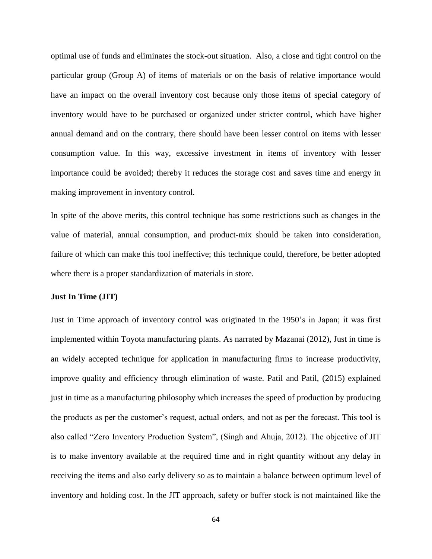optimal use of funds and eliminates the stock-out situation. Also, a close and tight control on the particular group (Group A) of items of materials or on the basis of relative importance would have an impact on the overall inventory cost because only those items of special category of inventory would have to be purchased or organized under stricter control, which have higher annual demand and on the contrary, there should have been lesser control on items with lesser consumption value. In this way, excessive investment in items of inventory with lesser importance could be avoided; thereby it reduces the storage cost and saves time and energy in making improvement in inventory control.

In spite of the above merits, this control technique has some restrictions such as changes in the value of material, annual consumption, and product-mix should be taken into consideration, failure of which can make this tool ineffective; this technique could, therefore, be better adopted where there is a proper standardization of materials in store.

#### **Just In Time (JIT)**

Just in Time approach of inventory control was originated in the 1950's in Japan; it was first implemented within Toyota manufacturing plants. As narrated by Mazanai (2012), Just in time is an widely accepted technique for application in manufacturing firms to increase productivity, improve quality and efficiency through elimination of waste. Patil and Patil, (2015) explained just in time as a manufacturing philosophy which increases the speed of production by producing the products as per the customer's request, actual orders, and not as per the forecast. This tool is also called "Zero Inventory Production System", (Singh and Ahuja, 2012). The objective of JIT is to make inventory available at the required time and in right quantity without any delay in receiving the items and also early delivery so as to maintain a balance between optimum level of inventory and holding cost. In the JIT approach, safety or buffer stock is not maintained like the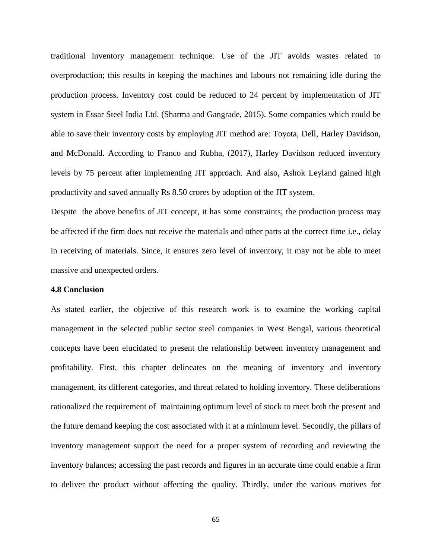traditional inventory management technique. Use of the JIT avoids wastes related to overproduction; this results in keeping the machines and labours not remaining idle during the production process. Inventory cost could be reduced to 24 percent by implementation of JIT system in Essar Steel India Ltd. (Sharma and Gangrade, 2015). Some companies which could be able to save their inventory costs by employing JIT method are: Toyota, Dell, Harley Davidson, and McDonald. According to Franco and Rubha, (2017), Harley Davidson reduced inventory levels by 75 percent after implementing JIT approach. And also, Ashok Leyland gained high productivity and saved annually Rs 8.50 crores by adoption of the JIT system.

Despite the above benefits of JIT concept, it has some constraints; the production process may be affected if the firm does not receive the materials and other parts at the correct time i.e., delay in receiving of materials. Since, it ensures zero level of inventory, it may not be able to meet massive and unexpected orders.

#### **4.8 Conclusion**

As stated earlier, the objective of this research work is to examine the working capital management in the selected public sector steel companies in West Bengal, various theoretical concepts have been elucidated to present the relationship between inventory management and profitability. First, this chapter delineates on the meaning of inventory and inventory management, its different categories, and threat related to holding inventory. These deliberations rationalized the requirement of maintaining optimum level of stock to meet both the present and the future demand keeping the cost associated with it at a minimum level. Secondly, the pillars of inventory management support the need for a proper system of recording and reviewing the inventory balances; accessing the past records and figures in an accurate time could enable a firm to deliver the product without affecting the quality. Thirdly, under the various motives for